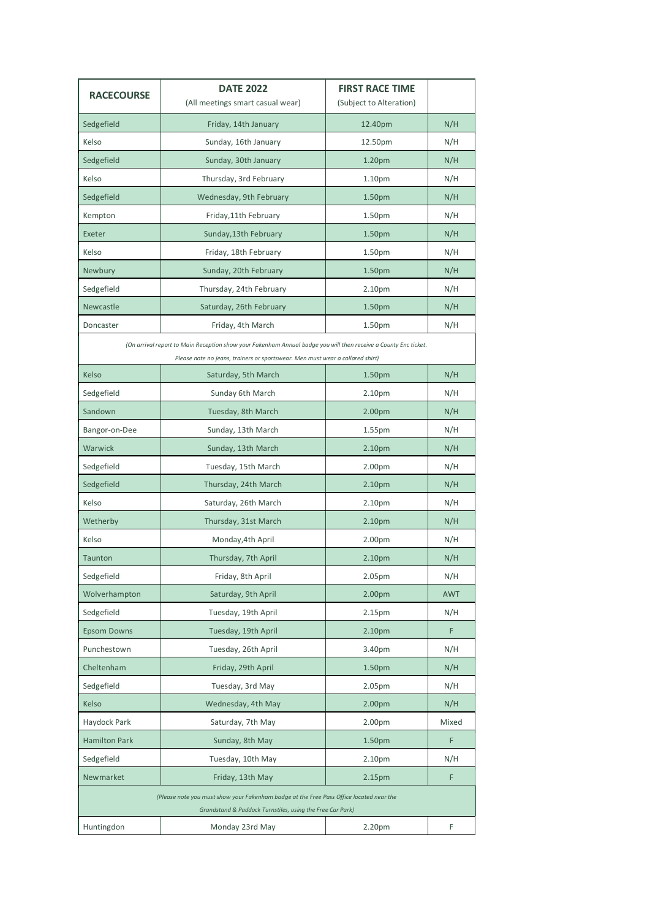| <b>RACECOURSE</b>                                                                                                                                                                                | <b>DATE 2022</b><br>(All meetings smart casual wear) | <b>FIRST RACE TIME</b><br>(Subject to Alteration) |            |  |
|--------------------------------------------------------------------------------------------------------------------------------------------------------------------------------------------------|------------------------------------------------------|---------------------------------------------------|------------|--|
| Sedgefield                                                                                                                                                                                       | Friday, 14th January                                 | 12.40pm                                           | N/H        |  |
| Kelso                                                                                                                                                                                            | Sunday, 16th January                                 | 12.50pm                                           | N/H        |  |
| Sedgefield                                                                                                                                                                                       | Sunday, 30th January                                 | 1.20pm                                            | N/H        |  |
| Kelso                                                                                                                                                                                            | Thursday, 3rd February                               | 1.10pm                                            | N/H        |  |
| Sedgefield                                                                                                                                                                                       | Wednesday, 9th February                              | 1.50pm                                            | N/H        |  |
| Kempton                                                                                                                                                                                          | Friday, 11th February                                | 1.50pm                                            | N/H        |  |
| Exeter                                                                                                                                                                                           | Sunday, 13th February                                | 1.50pm                                            | N/H        |  |
| Kelso                                                                                                                                                                                            | Friday, 18th February                                | 1.50pm                                            | N/H        |  |
| Newbury                                                                                                                                                                                          | Sunday, 20th February                                | 1.50pm                                            | N/H        |  |
| Sedgefield                                                                                                                                                                                       | Thursday, 24th February                              | 2.10 <sub>pm</sub>                                | N/H        |  |
| Newcastle                                                                                                                                                                                        | Saturday, 26th February                              | 1.50pm                                            | N/H        |  |
| Doncaster                                                                                                                                                                                        | Friday, 4th March                                    | 1.50pm                                            | N/H        |  |
| (On arrival report to Main Reception show your Fakenham Annual badge you will then receive a County Enc ticket.<br>Please note no jeans, trainers or sportswear. Men must wear a collared shirt) |                                                      |                                                   |            |  |
| Kelso                                                                                                                                                                                            | Saturday, 5th March                                  | 1.50pm                                            | N/H        |  |
| Sedgefield                                                                                                                                                                                       | Sunday 6th March                                     | 2.10 <sub>pm</sub>                                | N/H        |  |
| Sandown                                                                                                                                                                                          | Tuesday, 8th March                                   | 2.00pm                                            | N/H        |  |
| Bangor-on-Dee                                                                                                                                                                                    | Sunday, 13th March                                   | 1.55pm                                            | N/H        |  |
| Warwick                                                                                                                                                                                          | Sunday, 13th March                                   | 2.10pm                                            | N/H        |  |
| Sedgefield                                                                                                                                                                                       | Tuesday, 15th March                                  | 2.00pm                                            | N/H        |  |
| Sedgefield                                                                                                                                                                                       | Thursday, 24th March                                 | 2.10pm                                            | N/H        |  |
| Kelso                                                                                                                                                                                            | Saturday, 26th March                                 | 2.10pm                                            | N/H        |  |
| Wetherby                                                                                                                                                                                         | Thursday, 31st March                                 | 2.10pm                                            | N/H        |  |
| Kelso                                                                                                                                                                                            | Monday, 4th April                                    | 2.00pm                                            | N/H        |  |
| Taunton                                                                                                                                                                                          | Thursday, 7th April                                  | 2.10pm                                            | N/H        |  |
| Sedgefield                                                                                                                                                                                       | Friday, 8th April                                    | 2.05pm                                            | N/H        |  |
| Wolverhampton                                                                                                                                                                                    | Saturday, 9th April                                  | 2.00pm                                            | <b>AWT</b> |  |
| Sedgefield                                                                                                                                                                                       | Tuesday, 19th April                                  | 2.15 <sub>pm</sub>                                | N/H        |  |
| <b>Epsom Downs</b>                                                                                                                                                                               | Tuesday, 19th April                                  | 2.10pm                                            | F          |  |
| Punchestown                                                                                                                                                                                      | Tuesday, 26th April                                  | 3.40pm                                            | N/H        |  |
| Cheltenham                                                                                                                                                                                       | Friday, 29th April                                   | 1.50pm                                            | N/H        |  |
| Sedgefield                                                                                                                                                                                       | Tuesday, 3rd May                                     | 2.05pm                                            | N/H        |  |
| Kelso                                                                                                                                                                                            | Wednesday, 4th May                                   | 2.00pm                                            | N/H        |  |
| Haydock Park                                                                                                                                                                                     | Saturday, 7th May                                    | 2.00pm                                            | Mixed      |  |
| <b>Hamilton Park</b>                                                                                                                                                                             | Sunday, 8th May                                      | 1.50pm                                            | F          |  |
| Sedgefield                                                                                                                                                                                       | Tuesday, 10th May                                    | 2.10 <sub>pm</sub>                                | N/H        |  |
| Newmarket                                                                                                                                                                                        | Friday, 13th May                                     | 2.15pm                                            | F          |  |
| (Please note you must show your Fakenham badge at the Free Pass Office located near the<br>Grandstand & Paddock Turnstiles, using the Free Car Park)                                             |                                                      |                                                   |            |  |
| Huntingdon                                                                                                                                                                                       | Monday 23rd May                                      | 2.20pm                                            | F          |  |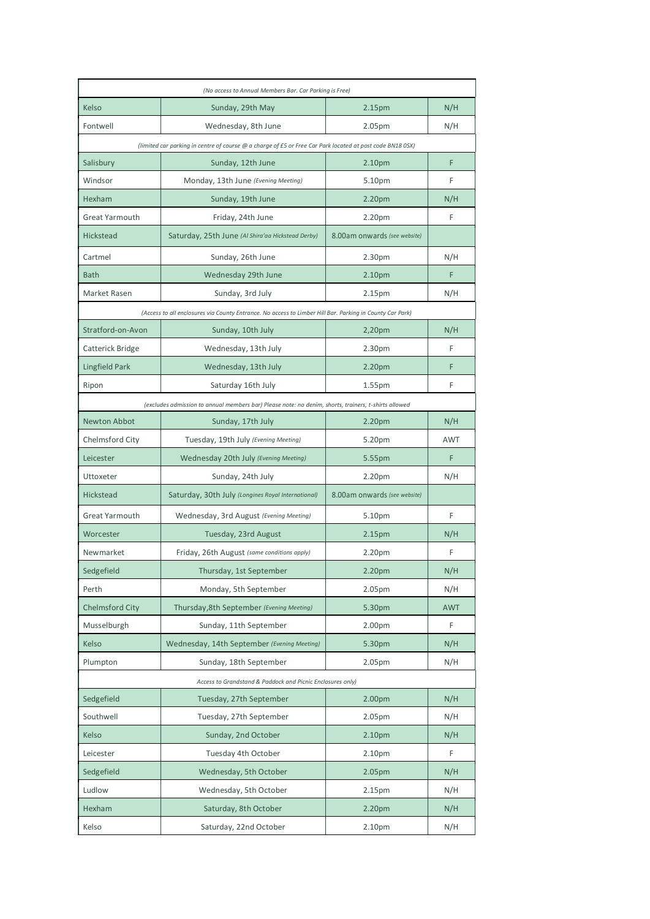|                                                                                                           | (No access to Annual Members Bar. Car Parking is Free)                                                   |                              |            |  |  |  |
|-----------------------------------------------------------------------------------------------------------|----------------------------------------------------------------------------------------------------------|------------------------------|------------|--|--|--|
| Kelso                                                                                                     | Sunday, 29th May                                                                                         | 2.15pm                       | N/H        |  |  |  |
| Fontwell                                                                                                  | Wednesday, 8th June                                                                                      | 2.05pm                       | N/H        |  |  |  |
| (limited car parking in centre of course @ a charge of £5 or Free Car Park located at post code BN18 0SX) |                                                                                                          |                              |            |  |  |  |
| Salisbury                                                                                                 | Sunday, 12th June                                                                                        | 2.10pm                       | F          |  |  |  |
| Windsor                                                                                                   | Monday, 13th June (Evening Meeting)                                                                      | 5.10pm                       | F          |  |  |  |
| Hexham                                                                                                    | Sunday, 19th June                                                                                        | 2.20pm                       | N/H        |  |  |  |
| Great Yarmouth                                                                                            | Friday, 24th June                                                                                        | 2.20pm                       | F          |  |  |  |
| Hickstead                                                                                                 | Saturday, 25th June (Al Shira'aa Hickstead Derby)                                                        | 8.00am onwards (see website) |            |  |  |  |
| Cartmel                                                                                                   | Sunday, 26th June                                                                                        | 2.30pm                       | N/H        |  |  |  |
| <b>Bath</b>                                                                                               | Wednesday 29th June                                                                                      | 2.10 <sub>pm</sub>           | F          |  |  |  |
| Market Rasen                                                                                              | Sunday, 3rd July                                                                                         | 2.15pm                       | N/H        |  |  |  |
|                                                                                                           | (Access to all enclosures via County Entrance. No access to Limber Hill Bar. Parking in County Car Park) |                              |            |  |  |  |
| Stratford-on-Avon                                                                                         | Sunday, 10th July                                                                                        | 2,20pm                       | N/H        |  |  |  |
| Catterick Bridge                                                                                          | Wednesday, 13th July                                                                                     | 2.30 <sub>pm</sub>           | F          |  |  |  |
| Lingfield Park                                                                                            | Wednesday, 13th July                                                                                     | 2.20pm                       | F          |  |  |  |
| Ripon                                                                                                     | Saturday 16th July                                                                                       | 1.55 <sub>pm</sub>           | F          |  |  |  |
|                                                                                                           | (excludes admission to annual members bar) Please note: no denim, shorts, trainers, t-shirts allowed     |                              |            |  |  |  |
| Newton Abbot                                                                                              | Sunday, 17th July                                                                                        | 2.20pm                       | N/H        |  |  |  |
| Chelmsford City                                                                                           | Tuesday, 19th July (Evening Meeting)                                                                     | 5.20pm                       | <b>AWT</b> |  |  |  |
| Leicester                                                                                                 | Wednesday 20th July (Evening Meeting)                                                                    | 5.55pm                       | F          |  |  |  |
| Uttoxeter                                                                                                 | Sunday, 24th July                                                                                        | 2.20pm                       | N/H        |  |  |  |
| Hickstead                                                                                                 | Saturday, 30th July (Longines Royal International)                                                       | 8.00am onwards (see website) |            |  |  |  |
| Great Yarmouth                                                                                            | Wednesday, 3rd August (Evening Meeting)                                                                  | 5.10pm                       | F          |  |  |  |
| Worcester                                                                                                 | Tuesday, 23rd August                                                                                     | 2.15pm                       | N/H        |  |  |  |
| Newmarket                                                                                                 | Friday, 26th August (same conditions apply)                                                              | 2.20pm                       | F          |  |  |  |
| Sedgefield                                                                                                | Thursday, 1st September                                                                                  | 2.20pm                       | N/H        |  |  |  |
| Perth                                                                                                     | Monday, 5th September                                                                                    | 2.05pm                       | N/H        |  |  |  |
| <b>Chelmsford City</b>                                                                                    | Thursday, 8th September (Evening Meeting)                                                                | 5.30pm                       | <b>AWT</b> |  |  |  |
| Musselburgh                                                                                               | Sunday, 11th September                                                                                   | 2.00pm                       | F          |  |  |  |
| Kelso                                                                                                     | Wednesday, 14th September (Evening Meeting)                                                              | 5.30pm                       | N/H        |  |  |  |
| Plumpton                                                                                                  | Sunday, 18th September                                                                                   | 2.05 <sub>pm</sub>           | N/H        |  |  |  |
|                                                                                                           | Access to Grandstand & Paddock and Picnic Enclosures only)                                               |                              |            |  |  |  |
| Sedgefield                                                                                                | Tuesday, 27th September                                                                                  | 2.00pm                       | N/H        |  |  |  |
| Southwell                                                                                                 | Tuesday, 27th September                                                                                  | 2.05pm                       | N/H        |  |  |  |
| Kelso                                                                                                     | Sunday, 2nd October                                                                                      | 2.10pm                       | N/H        |  |  |  |
| Leicester                                                                                                 | Tuesday 4th October                                                                                      | 2.10 <sub>pm</sub>           | F          |  |  |  |
| Sedgefield                                                                                                | Wednesday, 5th October                                                                                   | 2.05pm                       | N/H        |  |  |  |
| Ludlow                                                                                                    | Wednesday, 5th October                                                                                   | 2.15 <sub>pm</sub>           | N/H        |  |  |  |
| Hexham                                                                                                    | Saturday, 8th October                                                                                    | 2.20pm                       | N/H        |  |  |  |
| Kelso                                                                                                     | Saturday, 22nd October                                                                                   | 2.10pm                       | N/H        |  |  |  |